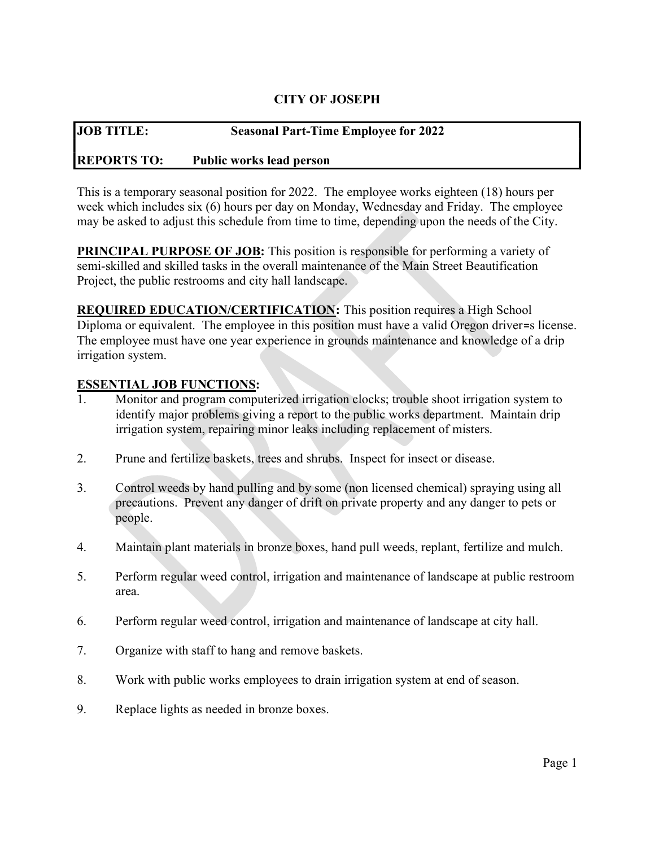### CITY OF JOSEPH

# JOB TITLE: Seasonal Part-Time Employee for 2022 REPORTS TO: Public works lead person

This is a temporary seasonal position for 2022. The employee works eighteen (18) hours per week which includes six (6) hours per day on Monday, Wednesday and Friday. The employee

PRINCIPAL PURPOSE OF JOB: This position is responsible for performing a variety of semi-skilled and skilled tasks in the overall maintenance of the Main Street Beautification Project, the public restrooms and city hall landscape.

may be asked to adjust this schedule from time to time, depending upon the needs of the City.

REQUIRED EDUCATION/CERTIFICATION: This position requires a High School Diploma or equivalent. The employee in this position must have a valid Oregon driver=s license. The employee must have one year experience in grounds maintenance and knowledge of a drip irrigation system.

#### ESSENTIAL JOB FUNCTIONS:

- 1. Monitor and program computerized irrigation clocks; trouble shoot irrigation system to identify major problems giving a report to the public works department. Maintain drip irrigation system, repairing minor leaks including replacement of misters.
- 2. Prune and fertilize baskets, trees and shrubs. Inspect for insect or disease.
- 3. Control weeds by hand pulling and by some (non licensed chemical) spraying using all precautions. Prevent any danger of drift on private property and any danger to pets or people.
- 4. Maintain plant materials in bronze boxes, hand pull weeds, replant, fertilize and mulch.
- 5. Perform regular weed control, irrigation and maintenance of landscape at public restroom area.
- 6. Perform regular weed control, irrigation and maintenance of landscape at city hall.
- 7. Organize with staff to hang and remove baskets.
- 8. Work with public works employees to drain irrigation system at end of season.
- 9. Replace lights as needed in bronze boxes.